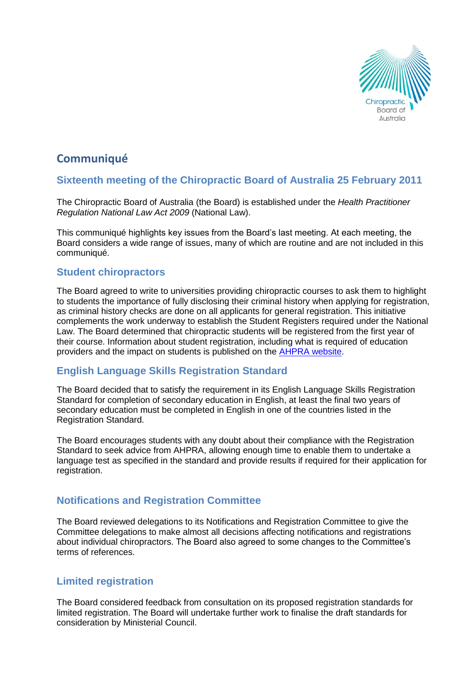

# **Communiqué**

# **Sixteenth meeting of the Chiropractic Board of Australia 25 February 2011**

The Chiropractic Board of Australia (the Board) is established under the *Health Practitioner Regulation National Law Act 2009* (National Law).

This communiqué highlights key issues from the Board's last meeting. At each meeting, the Board considers a wide range of issues, many of which are routine and are not included in this communiqué.

### **Student chiropractors**

The Board agreed to write to universities providing chiropractic courses to ask them to highlight to students the importance of fully disclosing their criminal history when applying for registration, as criminal history checks are done on all applicants for general registration. This initiative complements the work underway to establish the Student Registers required under the National Law. The Board determined that chiropractic students will be registered from the first year of their course. Information about student registration, including what is required of education providers and the impact on students is published on the [AHPRA website.](http://www.ahpra.gov.au/)

### **English Language Skills Registration Standard**

The Board decided that to satisfy the requirement in its English Language Skills Registration Standard for completion of secondary education in English, at least the final two years of secondary education must be completed in English in one of the countries listed in the Registration Standard.

The Board encourages students with any doubt about their compliance with the Registration Standard to seek advice from AHPRA, allowing enough time to enable them to undertake a language test as specified in the standard and provide results if required for their application for registration.

# **Notifications and Registration Committee**

The Board reviewed delegations to its Notifications and Registration Committee to give the Committee delegations to make almost all decisions affecting notifications and registrations about individual chiropractors. The Board also agreed to some changes to the Committee's terms of references.

### **Limited registration**

The Board considered feedback from consultation on its proposed registration standards for limited registration. The Board will undertake further work to finalise the draft standards for consideration by Ministerial Council.